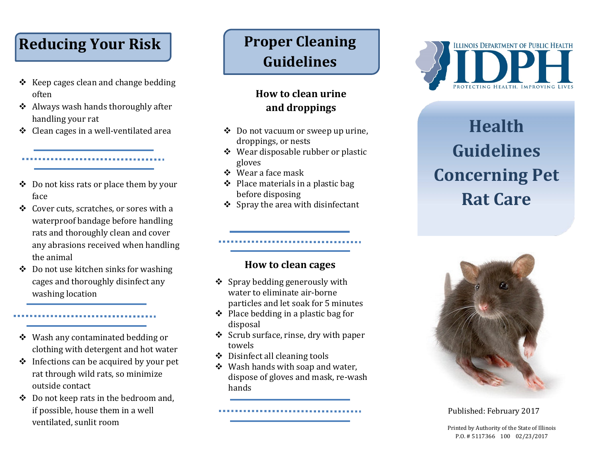# **Reducing Your Risk**

- $\triangle$  Keep cages clean and change bedding often
- ❖ Always wash hands thoroughly after handling your rat
- $\triangleleft$  Clean cages in a well-ventilated area
- Do not kiss rats or place them by your face
- Cover cuts, scratches, or sores with a waterproof bandage before handling rats and thoroughly clean and cover any abrasions received when handling the animal
- $\triangleleft$  Do not use kitchen sinks for washing cages and thoroughly disinfect any washing location
- Wash any contaminated bedding or clothing with detergent and hot water
- $\triangle$  Infections can be acquired by your pet rat through wild rats, so minimize outside contact
- $\div$  Do not keep rats in the bedroom and, if possible, house them in a well ventilated, sunlit room

# **Proper Cleaning Guidelines**

## **How to clean urine and droppings**

- Do not vacuum or sweep up urine, droppings, or nests
- Wear disposable rubber or plastic gloves
- ❖ Wear a face mask
- $\triangle$  Place materials in a plastic bag before disposing
- $\div$  Spray the area with disinfectant

### **How to clean cages**

- $\div$  Spray bedding generously with water to eliminate air-borne particles and let soak for 5 minutes
- $\triangle$  Place bedding in a plastic bag for disposal
- $\div$  Scrub surface, rinse, dry with paper towels
- $\triangle$  Disinfect all cleaning tools
- Wash hands with soap and water, dispose of gloves and mask, re-wash hands



# **Health Guidelines Concerning Pet Rat Care**



Published: February 2017